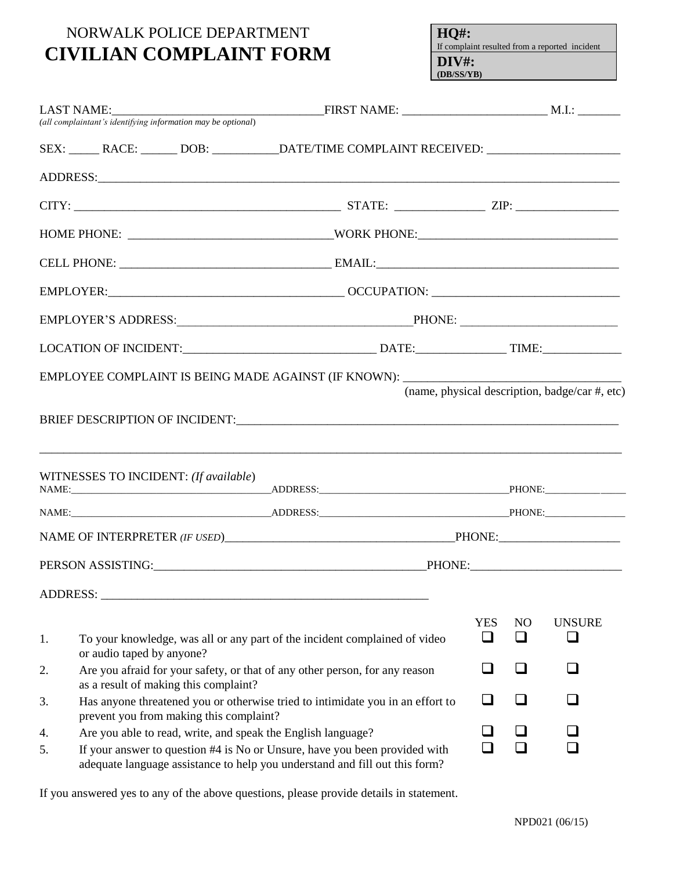## NORWALK POLICE DEPARTMENT **CIVILIAN COMPLAINT FORM**

**HQ#:** If complaint resulted from a reported incident **DIV#: (DB/SS/YB)**

|    |                                       |                                         | SEX: ______ RACE: _______ DOB: ____________DATE/TIME COMPLAINT RECEIVED: __________________________                                                                                                                            |            |    |                                                |  |
|----|---------------------------------------|-----------------------------------------|--------------------------------------------------------------------------------------------------------------------------------------------------------------------------------------------------------------------------------|------------|----|------------------------------------------------|--|
|    |                                       |                                         |                                                                                                                                                                                                                                |            |    |                                                |  |
|    |                                       |                                         |                                                                                                                                                                                                                                |            |    |                                                |  |
|    |                                       |                                         |                                                                                                                                                                                                                                |            |    |                                                |  |
|    |                                       |                                         |                                                                                                                                                                                                                                |            |    |                                                |  |
|    |                                       |                                         |                                                                                                                                                                                                                                |            |    |                                                |  |
|    |                                       |                                         |                                                                                                                                                                                                                                |            |    |                                                |  |
|    |                                       |                                         |                                                                                                                                                                                                                                |            |    |                                                |  |
|    |                                       |                                         | EMPLOYEE COMPLAINT IS BEING MADE AGAINST (IF KNOWN): ____________________________                                                                                                                                              |            |    |                                                |  |
|    |                                       |                                         |                                                                                                                                                                                                                                |            |    | (name, physical description, badge/car #, etc) |  |
|    |                                       |                                         |                                                                                                                                                                                                                                |            |    |                                                |  |
|    |                                       |                                         |                                                                                                                                                                                                                                |            |    |                                                |  |
|    |                                       |                                         |                                                                                                                                                                                                                                |            |    |                                                |  |
|    |                                       |                                         |                                                                                                                                                                                                                                |            |    |                                                |  |
|    | WITNESSES TO INCIDENT: (If available) |                                         |                                                                                                                                                                                                                                |            |    |                                                |  |
|    |                                       |                                         |                                                                                                                                                                                                                                |            |    |                                                |  |
|    |                                       |                                         | NAME: PHONE: PHONE: PHONE: PHONE: PHONE: PHONE: PHONE: PHONE: PHONE: PHONE: PHONE: PHONE: PHONE: PHONE: PHONE: PHONE: PHONE: PHONE: PHONE: PHONE: PHONE: PHONE: PHONE: PHONE: PHONE: PHONE: PHONE: PHONE: PHONE: PHONE: PHONE: |            |    |                                                |  |
|    |                                       |                                         |                                                                                                                                                                                                                                |            |    |                                                |  |
|    |                                       |                                         |                                                                                                                                                                                                                                |            |    |                                                |  |
|    |                                       |                                         |                                                                                                                                                                                                                                |            |    |                                                |  |
|    |                                       |                                         |                                                                                                                                                                                                                                | <b>YES</b> | NO | <b>UNSURE</b>                                  |  |
| 1. | or audio taped by anyone?             |                                         | To your knowledge, was all or any part of the incident complained of video                                                                                                                                                     | ❏          | ❏  | $\Box$                                         |  |
| 2. |                                       |                                         | Are you afraid for your safety, or that of any other person, for any reason                                                                                                                                                    | ⊔          | ❏  |                                                |  |
|    |                                       | as a result of making this complaint?   |                                                                                                                                                                                                                                |            |    |                                                |  |
| 3. |                                       | prevent you from making this complaint? | Has anyone threatened you or otherwise tried to intimidate you in an effort to                                                                                                                                                 | ⊔          | ப  |                                                |  |
| 4. |                                       |                                         | Are you able to read, write, and speak the English language?                                                                                                                                                                   |            | ப  |                                                |  |
| 5. |                                       |                                         | If your answer to question #4 is No or Unsure, have you been provided with<br>adequate language assistance to help you understand and fill out this form?                                                                      | ப          | ப  |                                                |  |

If you answered yes to any of the above questions, please provide details in statement.